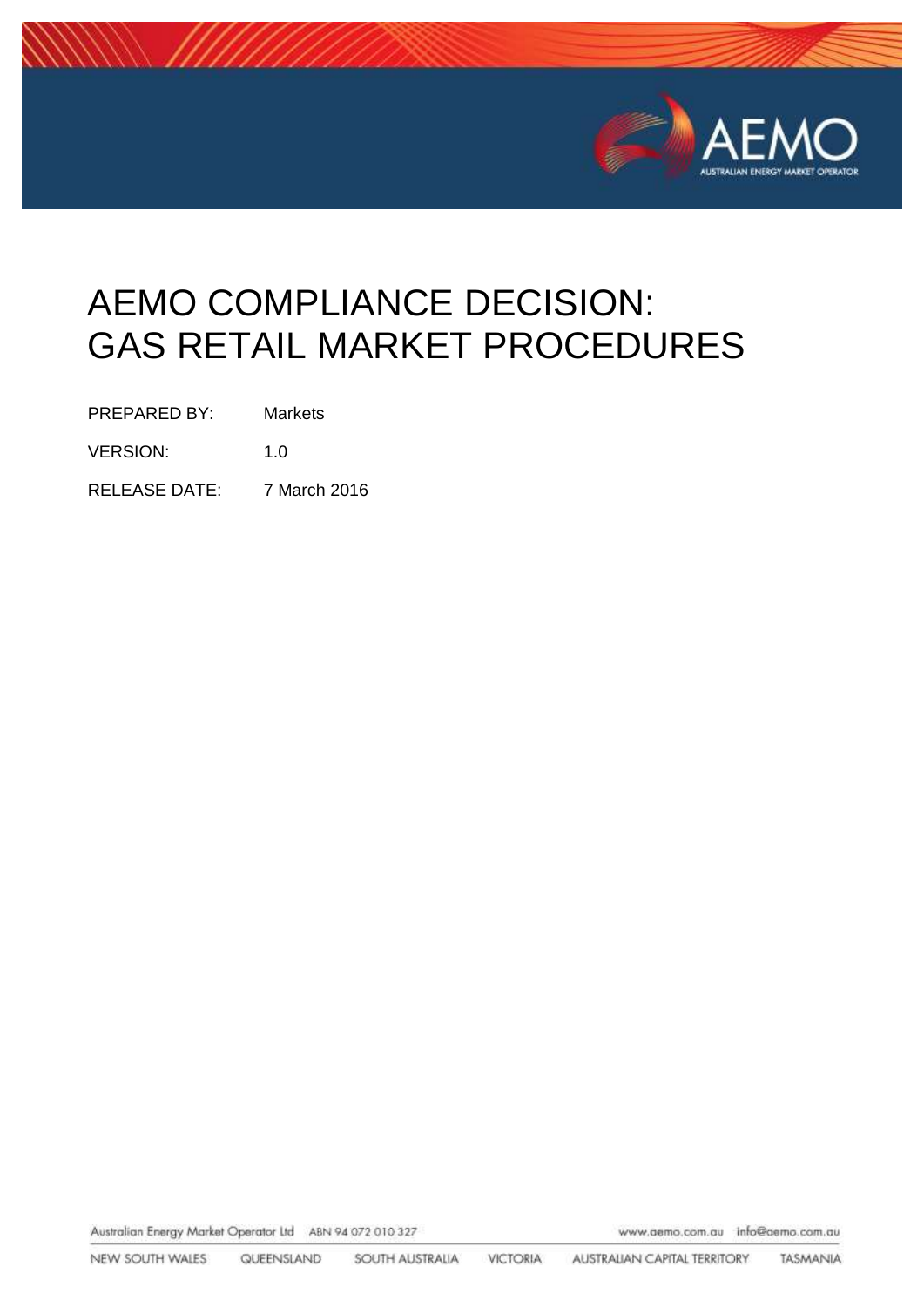

# AEMO COMPLIANCE DECISION: GAS RETAIL MARKET PROCEDURES

PREPARED BY: Markets

VERSION: 1.0

RELEASE DATE: 7 March 2016

Australian Energy Market Operator Ltd ABN 94 072 010 327

www.aemo.com.au info@aemo.com.au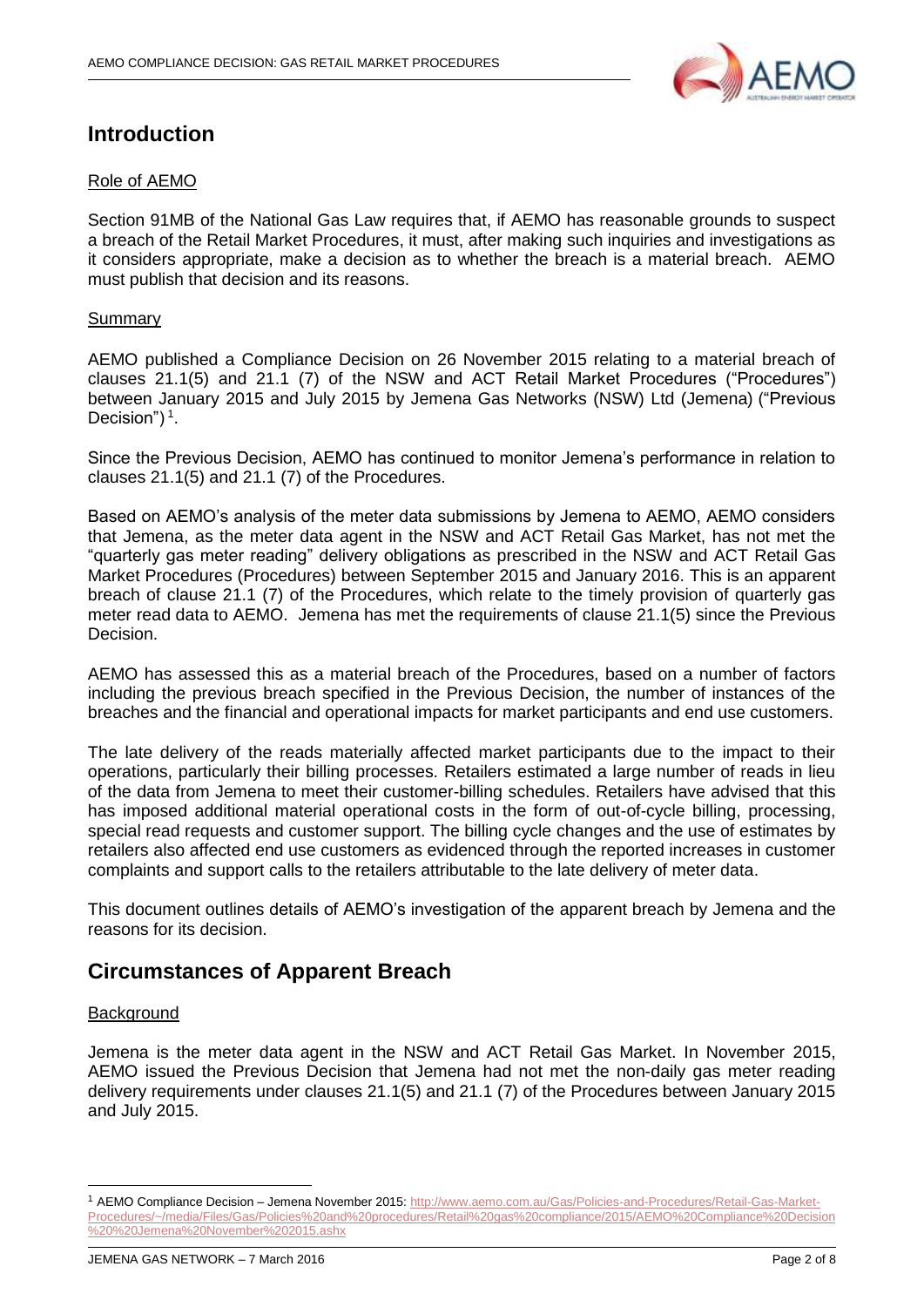

## **Introduction**

#### Role of AEMO

Section 91MB of the National Gas Law requires that, if AEMO has reasonable grounds to suspect a breach of the Retail Market Procedures, it must, after making such inquiries and investigations as it considers appropriate, make a decision as to whether the breach is a material breach. AEMO must publish that decision and its reasons.

#### Summary

AEMO published a Compliance Decision on 26 November 2015 relating to a material breach of clauses 21.1(5) and 21.1 (7) of the NSW and ACT Retail Market Procedures ("Procedures") between January 2015 and July 2015 by Jemena Gas Networks (NSW) Ltd (Jemena) ("Previous Decision") $<sup>1</sup>$ .</sup>

Since the Previous Decision, AEMO has continued to monitor Jemena's performance in relation to clauses 21.1(5) and 21.1 (7) of the Procedures.

Based on AEMO's analysis of the meter data submissions by Jemena to AEMO, AEMO considers that Jemena, as the meter data agent in the NSW and ACT Retail Gas Market, has not met the "quarterly gas meter reading" delivery obligations as prescribed in the NSW and ACT Retail Gas Market Procedures (Procedures) between September 2015 and January 2016. This is an apparent breach of clause 21.1 (7) of the Procedures, which relate to the timely provision of quarterly gas meter read data to AEMO. Jemena has met the requirements of clause 21.1(5) since the Previous Decision.

AEMO has assessed this as a material breach of the Procedures, based on a number of factors including the previous breach specified in the Previous Decision, the number of instances of the breaches and the financial and operational impacts for market participants and end use customers.

The late delivery of the reads materially affected market participants due to the impact to their operations, particularly their billing processes. Retailers estimated a large number of reads in lieu of the data from Jemena to meet their customer-billing schedules. Retailers have advised that this has imposed additional material operational costs in the form of out-of-cycle billing, processing, special read requests and customer support. The billing cycle changes and the use of estimates by retailers also affected end use customers as evidenced through the reported increases in customer complaints and support calls to the retailers attributable to the late delivery of meter data.

This document outlines details of AEMO's investigation of the apparent breach by Jemena and the reasons for its decision.

## **Circumstances of Apparent Breach**

#### **Background**

-

Jemena is the meter data agent in the NSW and ACT Retail Gas Market. In November 2015, AEMO issued the Previous Decision that Jemena had not met the non-daily gas meter reading delivery requirements under clauses 21.1(5) and 21.1 (7) of the Procedures between January 2015 and July 2015.

<sup>1</sup> AEMO Compliance Decision – Jemena November 2015[: http://www.aemo.com.au/Gas/Policies-and-Procedures/Retail-Gas-Market-](http://www.aemo.com.au/Gas/Policies-and-Procedures/Retail-Gas-Market-Procedures/~/media/Files/Gas/Policies%20and%20procedures/Retail%20gas%20compliance/2015/AEMO%20Compliance%20Decision%20%20Jemena%20November%202015.ashx)[Procedures/~/media/Files/Gas/Policies%20and%20procedures/Retail%20gas%20compliance/2015/AEMO%20Compliance%20Decision](http://www.aemo.com.au/Gas/Policies-and-Procedures/Retail-Gas-Market-Procedures/~/media/Files/Gas/Policies%20and%20procedures/Retail%20gas%20compliance/2015/AEMO%20Compliance%20Decision%20%20Jemena%20November%202015.ashx) [%20%20Jemena%20November%202015.ashx](http://www.aemo.com.au/Gas/Policies-and-Procedures/Retail-Gas-Market-Procedures/~/media/Files/Gas/Policies%20and%20procedures/Retail%20gas%20compliance/2015/AEMO%20Compliance%20Decision%20%20Jemena%20November%202015.ashx)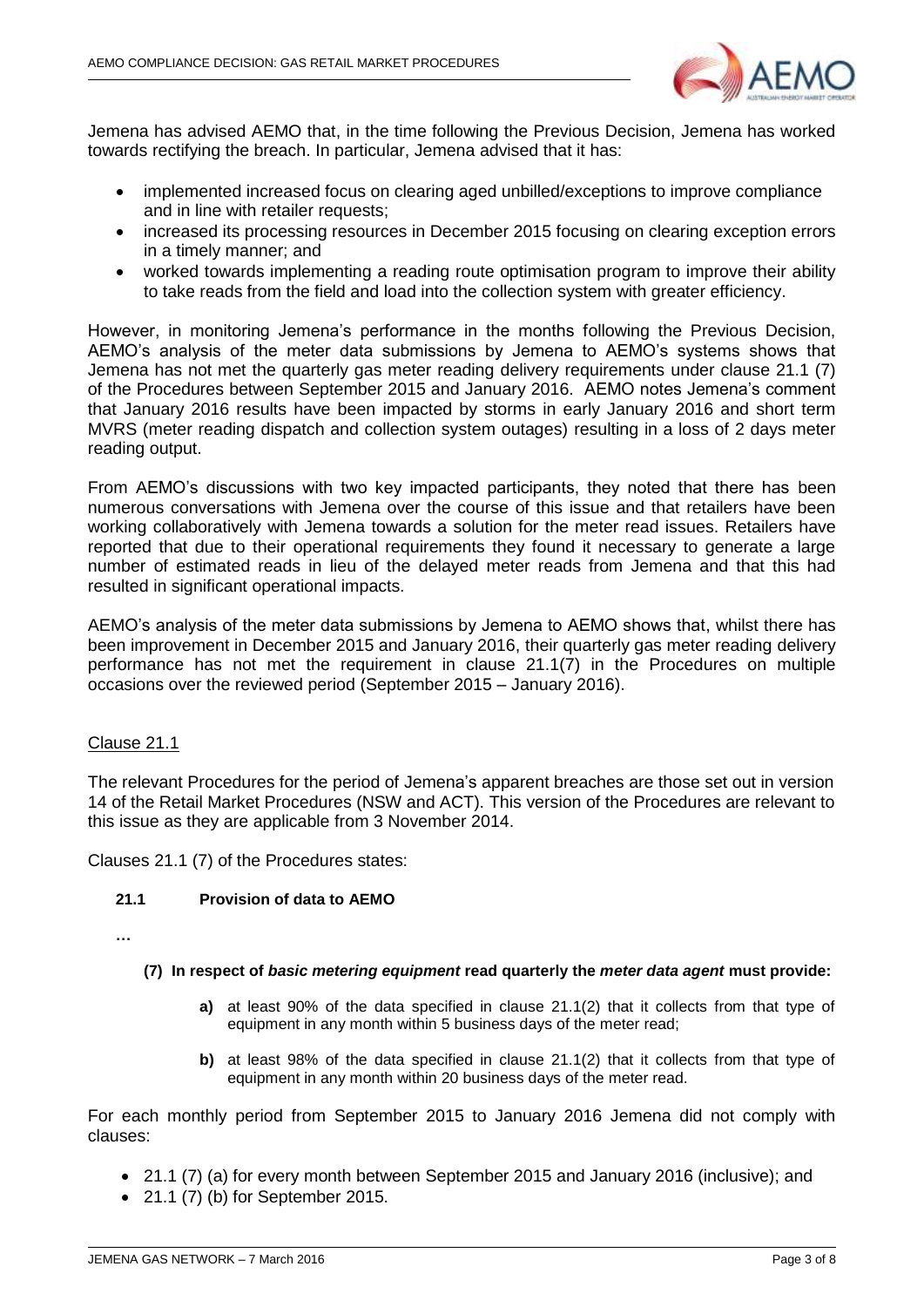

Jemena has advised AEMO that, in the time following the Previous Decision, Jemena has worked towards rectifying the breach. In particular, Jemena advised that it has:

- implemented increased focus on clearing aged unbilled/exceptions to improve compliance and in line with retailer requests;
- increased its processing resources in December 2015 focusing on clearing exception errors in a timely manner; and
- worked towards implementing a reading route optimisation program to improve their ability to take reads from the field and load into the collection system with greater efficiency.

However, in monitoring Jemena's performance in the months following the Previous Decision, AEMO's analysis of the meter data submissions by Jemena to AEMO's systems shows that Jemena has not met the quarterly gas meter reading delivery requirements under clause 21.1 (7) of the Procedures between September 2015 and January 2016. AEMO notes Jemena's comment that January 2016 results have been impacted by storms in early January 2016 and short term MVRS (meter reading dispatch and collection system outages) resulting in a loss of 2 days meter reading output.

From AEMO's discussions with two key impacted participants, they noted that there has been numerous conversations with Jemena over the course of this issue and that retailers have been working collaboratively with Jemena towards a solution for the meter read issues. Retailers have reported that due to their operational requirements they found it necessary to generate a large number of estimated reads in lieu of the delayed meter reads from Jemena and that this had resulted in significant operational impacts.

AEMO's analysis of the meter data submissions by Jemena to AEMO shows that, whilst there has been improvement in December 2015 and January 2016, their quarterly gas meter reading delivery performance has not met the requirement in clause 21.1(7) in the Procedures on multiple occasions over the reviewed period (September 2015 – January 2016).

#### Clause 21.1

The relevant Procedures for the period of Jemena's apparent breaches are those set out in version 14 of the Retail Market Procedures (NSW and ACT). This version of the Procedures are relevant to this issue as they are applicable from 3 November 2014.

Clauses 21.1 (7) of the Procedures states:

#### **21.1 Provision of data to AEMO**

**…**

#### **(7) In respect of** *basic metering equipment* **read quarterly the** *meter data agent* **must provide:**

- **a)** at least 90% of the data specified in clause 21.1(2) that it collects from that type of equipment in any month within 5 business days of the meter read;
- **b)** at least 98% of the data specified in clause 21.1(2) that it collects from that type of equipment in any month within 20 business days of the meter read.

For each monthly period from September 2015 to January 2016 Jemena did not comply with clauses:

- 21.1 (7) (a) for every month between September 2015 and January 2016 (inclusive); and
- 21.1 (7) (b) for September 2015.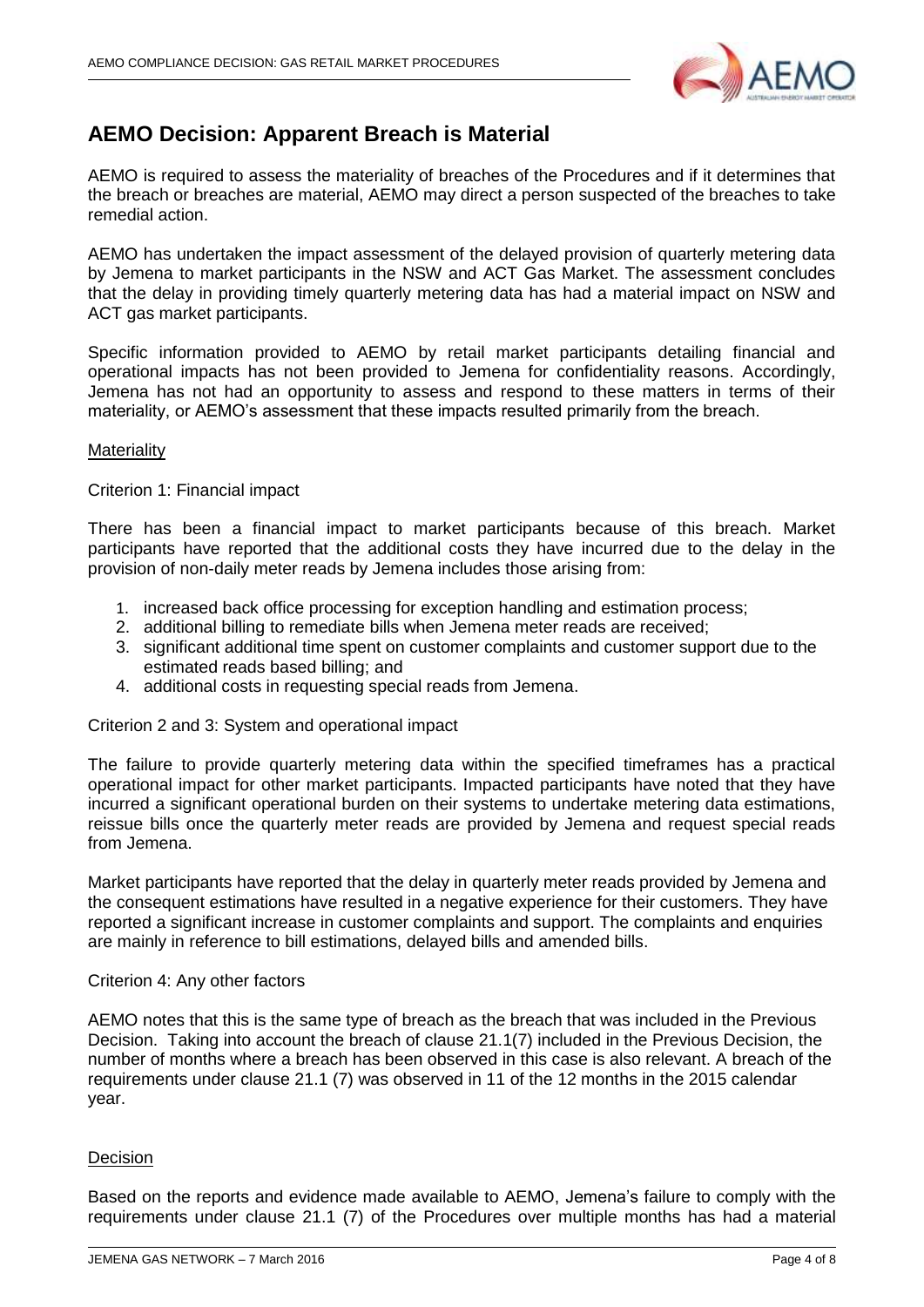

## **AEMO Decision: Apparent Breach is Material**

AEMO is required to assess the materiality of breaches of the Procedures and if it determines that the breach or breaches are material, AEMO may direct a person suspected of the breaches to take remedial action.

AEMO has undertaken the impact assessment of the delayed provision of quarterly metering data by Jemena to market participants in the NSW and ACT Gas Market. The assessment concludes that the delay in providing timely quarterly metering data has had a material impact on NSW and ACT gas market participants.

Specific information provided to AEMO by retail market participants detailing financial and operational impacts has not been provided to Jemena for confidentiality reasons. Accordingly, Jemena has not had an opportunity to assess and respond to these matters in terms of their materiality, or AEMO's assessment that these impacts resulted primarily from the breach.

#### **Materiality**

Criterion 1: Financial impact

There has been a financial impact to market participants because of this breach. Market participants have reported that the additional costs they have incurred due to the delay in the provision of non-daily meter reads by Jemena includes those arising from:

- 1. increased back office processing for exception handling and estimation process;
- 2. additional billing to remediate bills when Jemena meter reads are received;
- 3. significant additional time spent on customer complaints and customer support due to the estimated reads based billing; and
- 4. additional costs in requesting special reads from Jemena.

Criterion 2 and 3: System and operational impact

The failure to provide quarterly metering data within the specified timeframes has a practical operational impact for other market participants. Impacted participants have noted that they have incurred a significant operational burden on their systems to undertake metering data estimations, reissue bills once the quarterly meter reads are provided by Jemena and request special reads from Jemena.

Market participants have reported that the delay in quarterly meter reads provided by Jemena and the consequent estimations have resulted in a negative experience for their customers. They have reported a significant increase in customer complaints and support. The complaints and enquiries are mainly in reference to bill estimations, delayed bills and amended bills.

#### Criterion 4: Any other factors

AEMO notes that this is the same type of breach as the breach that was included in the Previous Decision. Taking into account the breach of clause 21.1(7) included in the Previous Decision, the number of months where a breach has been observed in this case is also relevant. A breach of the requirements under clause 21.1 (7) was observed in 11 of the 12 months in the 2015 calendar year.

#### Decision

Based on the reports and evidence made available to AEMO, Jemena's failure to comply with the requirements under clause 21.1 (7) of the Procedures over multiple months has had a material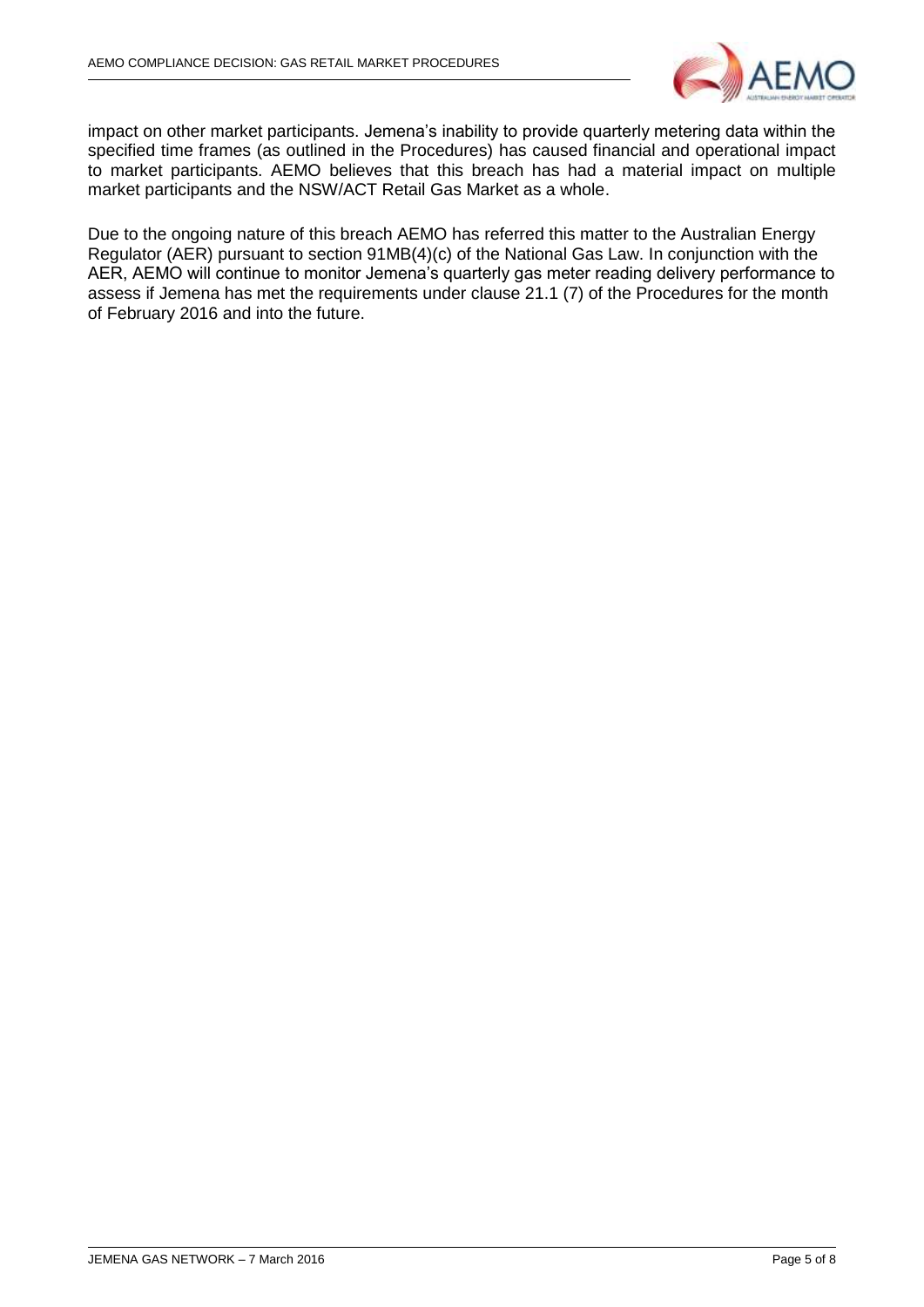

impact on other market participants. Jemena's inability to provide quarterly metering data within the specified time frames (as outlined in the Procedures) has caused financial and operational impact to market participants. AEMO believes that this breach has had a material impact on multiple market participants and the NSW/ACT Retail Gas Market as a whole.

Due to the ongoing nature of this breach AEMO has referred this matter to the Australian Energy Regulator (AER) pursuant to section 91MB(4)(c) of the National Gas Law. In conjunction with the AER, AEMO will continue to monitor Jemena's quarterly gas meter reading delivery performance to assess if Jemena has met the requirements under clause 21.1 (7) of the Procedures for the month of February 2016 and into the future.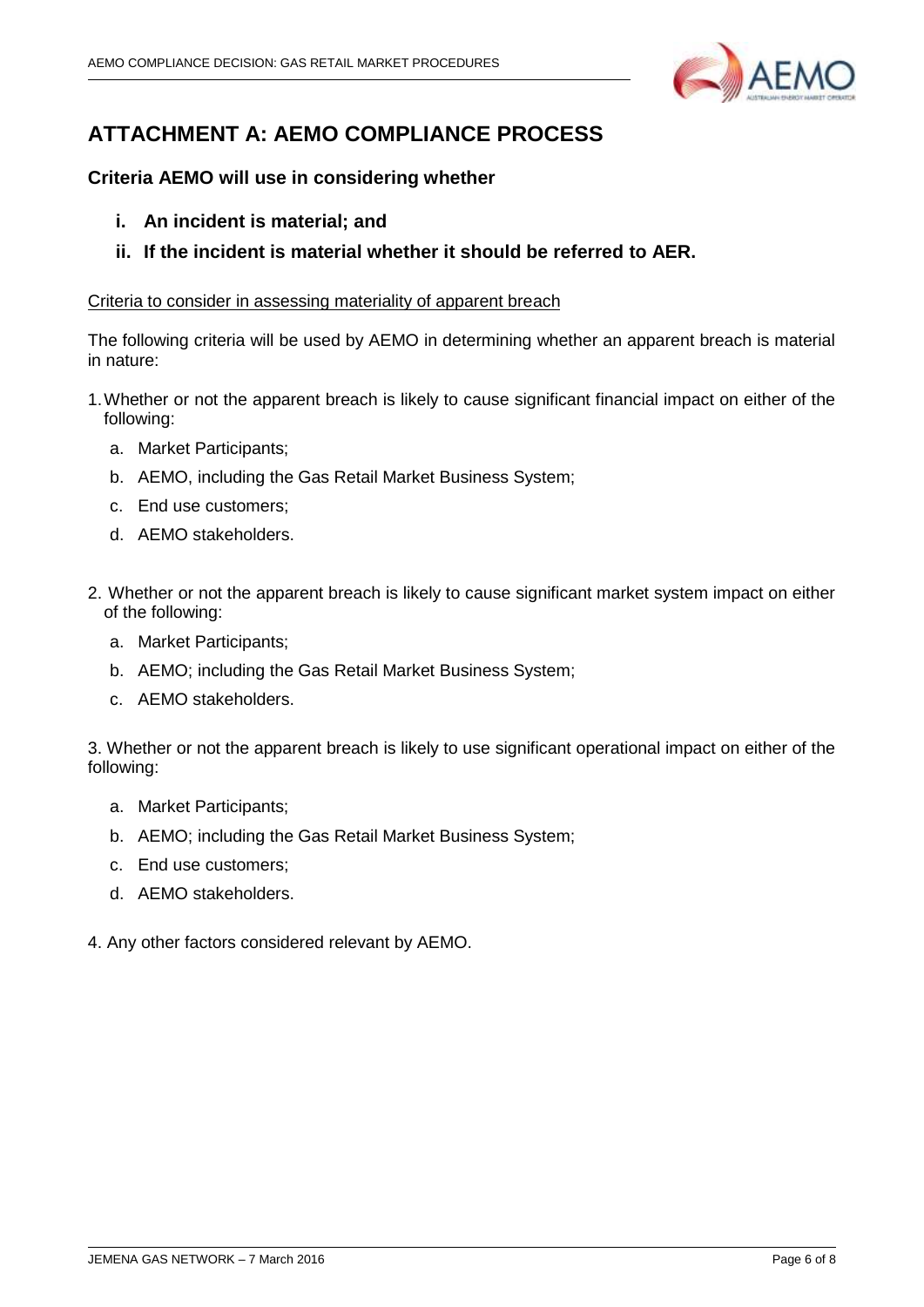

# **ATTACHMENT A: AEMO COMPLIANCE PROCESS**

### **Criteria AEMO will use in considering whether**

- **i. An incident is material; and**
- **ii. If the incident is material whether it should be referred to AER.**

#### Criteria to consider in assessing materiality of apparent breach

The following criteria will be used by AEMO in determining whether an apparent breach is material in nature:

- 1.Whether or not the apparent breach is likely to cause significant financial impact on either of the following:
	- a. Market Participants;
	- b. AEMO, including the Gas Retail Market Business System;
	- c. End use customers;
	- d. AEMO stakeholders.
- 2. Whether or not the apparent breach is likely to cause significant market system impact on either of the following:
	- a. Market Participants;
	- b. AEMO; including the Gas Retail Market Business System;
	- c. AEMO stakeholders.

3. Whether or not the apparent breach is likely to use significant operational impact on either of the following:

- a. Market Participants;
- b. AEMO; including the Gas Retail Market Business System;
- c. End use customers;
- d. AEMO stakeholders.
- 4. Any other factors considered relevant by AEMO.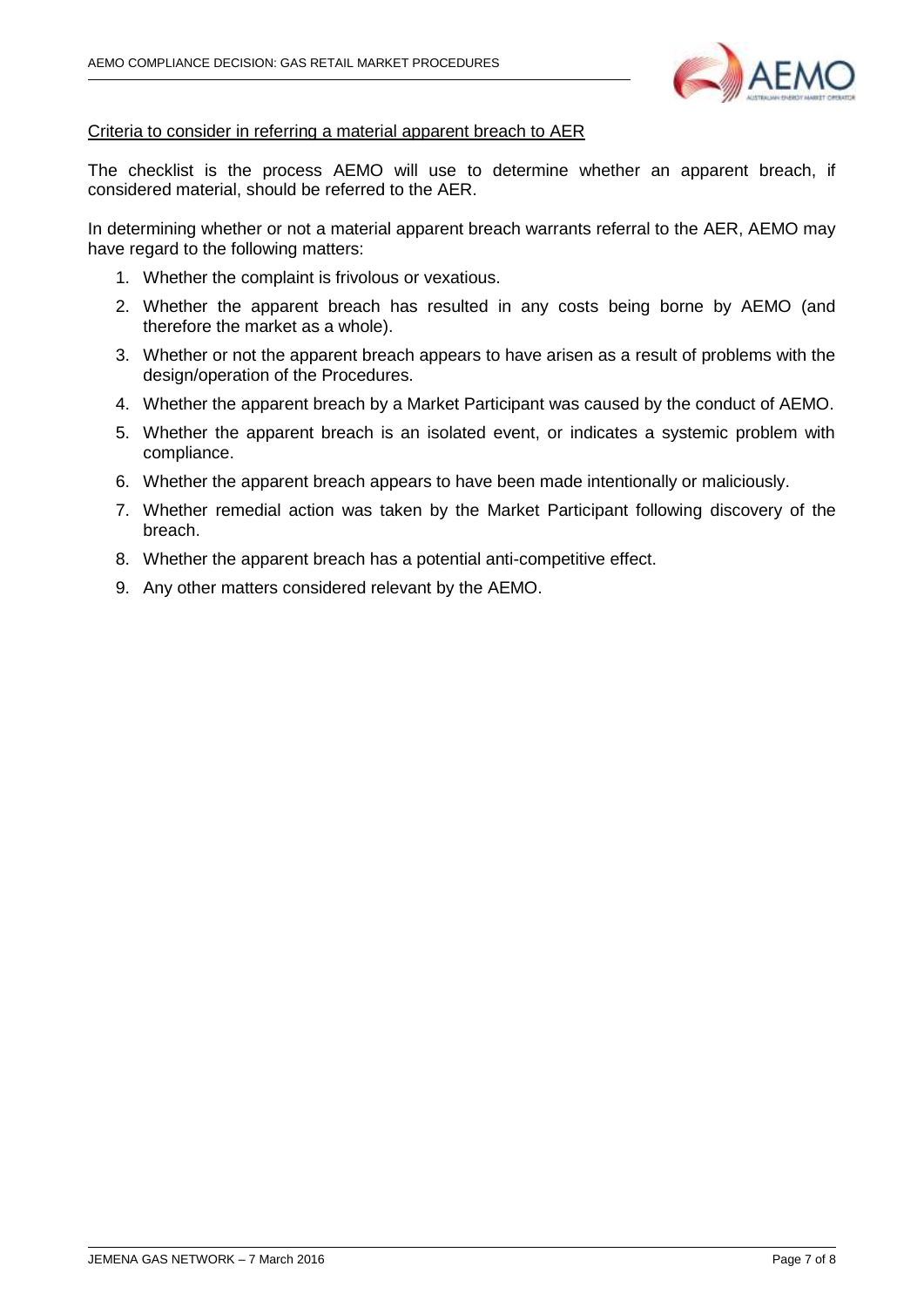

#### Criteria to consider in referring a material apparent breach to AER

The checklist is the process AEMO will use to determine whether an apparent breach, if considered material, should be referred to the AER.

In determining whether or not a material apparent breach warrants referral to the AER, AEMO may have regard to the following matters:

- 1. Whether the complaint is frivolous or vexatious.
- 2. Whether the apparent breach has resulted in any costs being borne by AEMO (and therefore the market as a whole).
- 3. Whether or not the apparent breach appears to have arisen as a result of problems with the design/operation of the Procedures.
- 4. Whether the apparent breach by a Market Participant was caused by the conduct of AEMO.
- 5. Whether the apparent breach is an isolated event, or indicates a systemic problem with compliance.
- 6. Whether the apparent breach appears to have been made intentionally or maliciously.
- 7. Whether remedial action was taken by the Market Participant following discovery of the breach.
- 8. Whether the apparent breach has a potential anti-competitive effect.
- 9. Any other matters considered relevant by the AEMO.